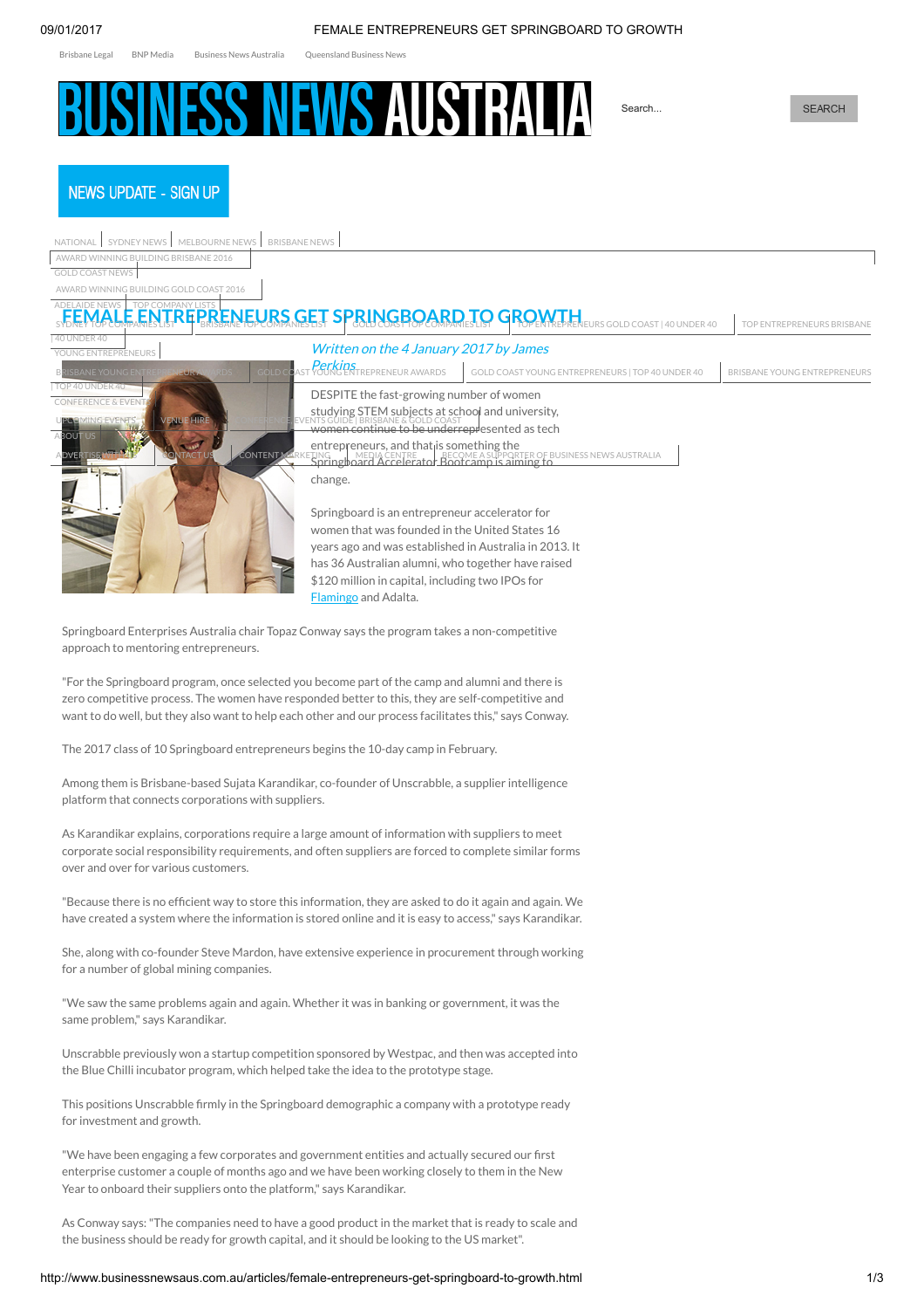<span id="page-0-0"></span>[Brisbane](http://brisbanelegal.com.au/) Legal BNP [Media](http://www.bnpmedia.com.au/) Business News [Australia](http://www.brisbanebusinessnews.com.au/) [Queensland](http://www.queenslandbusinessnews.com.au/) Business News

# **NESS NEWS AUSTRAL**

Search...

**NEWS UPDATE - SIGN UP** 

| MELBOURNE NEWS BRISBANE NEWS<br>SYDNEY NEWS<br>NATIONAL                                                                               |                                                                                                          |                                                                                                                    |                              |
|---------------------------------------------------------------------------------------------------------------------------------------|----------------------------------------------------------------------------------------------------------|--------------------------------------------------------------------------------------------------------------------|------------------------------|
| AWARD WINNING BUILDING BRISBANE 2016                                                                                                  |                                                                                                          |                                                                                                                    |                              |
| <b>GOLD COAST NEWS</b>                                                                                                                |                                                                                                          |                                                                                                                    |                              |
| AWARD WINNING BUILDING GOLD COAST 2016                                                                                                |                                                                                                          |                                                                                                                    |                              |
|                                                                                                                                       | RENEURS GET SPRINGBOARD                                                                                  | TO GROW<br>URS GOLD COAST   40 UNDER 40                                                                            | TOP ENTREPRENEURS BRISBANE   |
| 40 UNDER 40<br>YOUNG ENTREPRENEURS                                                                                                    | Written on the 4 January 2017 by James                                                                   |                                                                                                                    |                              |
| <b>SBANE YOUNG ENTREP</b><br><b>GOLD COAST</b><br>EUR                                                                                 | Perkins<br>YOUNG ENTREPRENEUR AWARDS                                                                     | GOLD COAST YOUNG ENTREPRENEURS   TOP 40 UNDER 40                                                                   | BRISBANE YOUNG ENTREPRENEURS |
| TOP 40 UNDER 40<br><b>CONFERENCE &amp; EVEN</b>                                                                                       | DESPITE the fast-growing number of women                                                                 |                                                                                                                    |                              |
| <b>VENUE HIRE</b>                                                                                                                     | studying STEM subjects at school and university,                                                         |                                                                                                                    |                              |
| <b>ABOUT US</b>                                                                                                                       | \TS GUIDE BRISBANE & GOLD COAST<br><del>WOMEN CONTINUE to be underrepr</del> esented as tech             |                                                                                                                    |                              |
| <b>CONTENT MAR</b><br><b>ONTACT US</b><br>RTISE                                                                                       | entrepreneurs, and that is something the                                                                 | TING I MEDIA CENTRE BECOME A SUPPORTER OF BUSINESS NEWS AUSTRALIA<br>Springboard Accelerator Bootcamp is aiming to |                              |
|                                                                                                                                       | change.                                                                                                  |                                                                                                                    |                              |
|                                                                                                                                       |                                                                                                          |                                                                                                                    |                              |
|                                                                                                                                       | Springboard is an entrepreneur accelerator for                                                           |                                                                                                                    |                              |
|                                                                                                                                       | women that was founded in the United States 16<br>years ago and was established in Australia in 2013. It |                                                                                                                    |                              |
|                                                                                                                                       | has 36 Australian alumni, who together have raised                                                       |                                                                                                                    |                              |
|                                                                                                                                       | \$120 million in capital, including two IPOs for                                                         |                                                                                                                    |                              |
|                                                                                                                                       | Flamingo and Adalta.                                                                                     |                                                                                                                    |                              |
|                                                                                                                                       |                                                                                                          |                                                                                                                    |                              |
| Springboard Enterprises Australia chair Topaz Conway says the program takes a non-competitive<br>approach to mentoring entrepreneurs. |                                                                                                          |                                                                                                                    |                              |
|                                                                                                                                       |                                                                                                          |                                                                                                                    |                              |
| "For the Springboard program, once selected you become part of the camp and alumni and there is                                       |                                                                                                          |                                                                                                                    |                              |
| zero competitive process. The women have responded better to this, they are self-competitive and                                      |                                                                                                          |                                                                                                                    |                              |
| want to do well, but they also want to help each other and our process facilitates this," says Conway.                                |                                                                                                          |                                                                                                                    |                              |
| The 2017 class of 10 Springboard entrepreneurs begins the 10-day camp in February.                                                    |                                                                                                          |                                                                                                                    |                              |
|                                                                                                                                       |                                                                                                          |                                                                                                                    |                              |
| Among them is Brisbane-based Sujata Karandikar, co-founder of Unscrabble, a supplier intelligence                                     |                                                                                                          |                                                                                                                    |                              |

platform that connects corporations with suppliers.

As Karandikar explains, corporations require a large amount of information with suppliers to meet corporate social responsibility requirements, and often suppliers are forced to complete similar forms over and over for various customers.

"Because there is no efficient way to store this information, they are asked to do it again and again. We have created a system where the information is stored online and it is easy to access," says Karandikar.

She, along with co-founder Steve Mardon, have extensive experience in procurement through working for a number of global mining companies.

"We saw the same problems again and again. Whether it was in banking or government, it was the same problem," says Karandikar.

Unscrabble previously won a startup competition sponsored by Westpac, and then was accepted into the Blue Chilli incubator program, which helped take the idea to the prototype stage.

This positions Unscrabble firmly in the Springboard demographic a company with a prototype ready for investment and growth.

"We have been engaging a few corporates and government entities and actually secured our first enterprise customer a couple of months ago and we have been working closely to them in the New Year to onboard their suppliers onto the platform," says Karandikar.

As Conway says:"The companies need to have a good product in the market that is ready to scale and the business should be ready for growth capital, and it should be looking to the US market".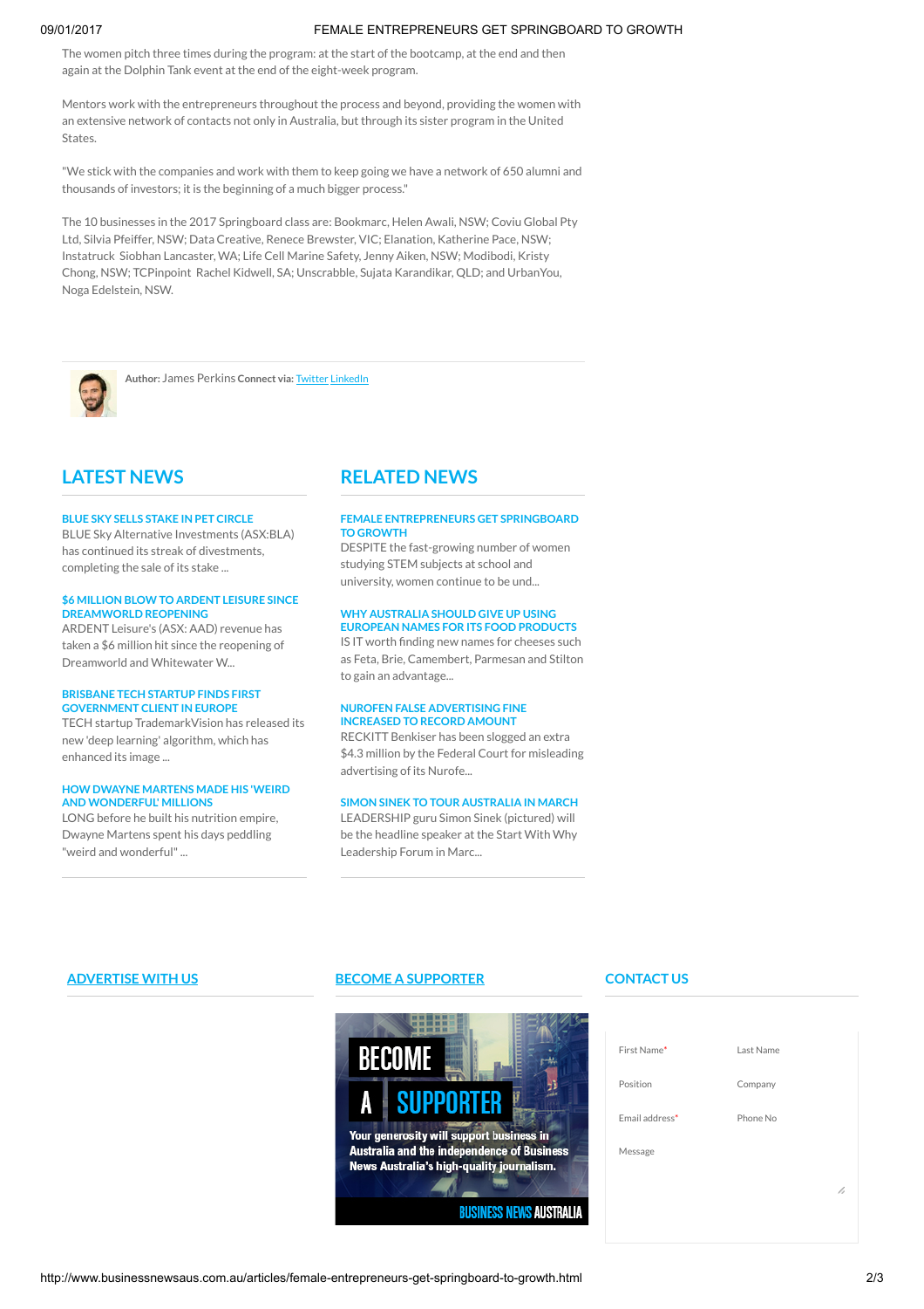# 09/01/2017 FEMALE ENTREPRENEURS GET SPRINGBOARD TO GROWTH

The women pitch three times during the program: at the start of the bootcamp, at the end and then again at the Dolphin Tank event at the end of the eight-week program.

Mentors work with the entrepreneurs throughout the process and beyond, providing the women with an extensive network of contacts not only in Australia, but through its sister program in the United **States** 

"We stick with the companies and work with them to keep going we have a network of 650 alumni and thousands of investors; it is the beginning of a much bigger process."

The 10 businesses in the 2017 Springboard class are: Bookmarc, Helen Awali, NSW; Coviu Global Pty Ltd, Silvia Pfeiffer, NSW; Data Creative, Renece Brewster, VIC; Elanation, Katherine Pace, NSW; Instatruck Siobhan Lancaster, WA; Life Cell Marine Safety, Jenny Aiken, NSW; Modibodi, Kristy Chong, NSW; TCPinpoint Rachel Kidwell, SA; Unscrabble, Sujata Karandikar, QLD; and UrbanYou, Noga Edelstein, NSW.



Author: James Perkins Connect via: [Twitter](http://twitter.com/https://twitter.com/JamesHPerkins) [LinkedIn](https://www.linkedin.com/in/james-perkins-4285b947?trk=nav_responsive_tab_profile)

# LATEST NEWS

# BLUE SKY SELLS STAKE IN PET [CIRCLE](http://www.businessnewsaus.com.au/articles/blue-sky-sells-stake-in-pet-circle.html)

BLUE Sky Alternative Investments (ASX:BLA) has continued its streak of divestments, completing the sale of its stake ...

## \$6 MILLION BLOW TO ARDENT LEISURE SINCE [DREAMWORLD](http://www.businessnewsaus.com.au/articles/-6-million-blow-to-ardent-leisure-since-dreamworld-reopening.html) REOPENING

ARDENT Leisure's (ASX: AAD) revenue has taken a \$6 million hit since the reopening of Dreamworld and Whitewater W...

# BRISBANE TECH STARTUP FINDS FIRST [GOVERNMENT](http://www.businessnewsaus.com.au/articles/brisbane-tech-startup-finds-first-government-client-in-europe.html) CLIENT IN EUROPE

TECH startup TrademarkVision has released its new 'deep learning' algorithm, which has enhanced its image ...

# HOW DWAYNE MARTENS MADE HIS 'WEIRD **AND [WONDERFUL'](http://www.businessnewsaus.com.au/articles/how-dwayne-martens-made-his--weird-and-wonderful--millions.html) MILLIONS**

LONG before he built his nutrition empire, Dwayne Martens spent his days peddling "weird and wonderful"...

# RELATED NEWS

## FEMALE [ENTREPRENEURS](http://www.businessnewsaus.com.au/articles/female-entrepreneurs-get-springboard-to-growth.html) GET SPRINGBOARD TO GROWTH

DESPITE the fast-growing number of women studying STEM subjects at school and university, women continue to be und...

### WHY [AUSTRALIA](http://www.businessnewsaus.com.au/articles/why-australia-should-give-up-using-european-names-for-its-food-products.html) SHOULD GIVE UP USING EUROPEAN NAMES FOR ITS FOOD PRODUCTS

IS IT worth finding new names for cheeses such as Feta, Brie, Camembert, Parmesan and Stilton to gain an advantage...

## NUROFEN FALSE [ADVERTISING](http://www.businessnewsaus.com.au/articles/nurofen-false-advertising-fine-increased-to-record-amount.html) FINE INCREASED TO RECORD AMOUNT

RECKITT Benkiser has been slogged an extra \$4.3 million by the Federal Court for misleading advertising of its Nurofe...

# SIMON SINEK TO TOUR [AUSTRALIA](http://www.businessnewsaus.com.au/articles/simon-sinek-to-tour-australia-in-march.html) IN MARCH

LEADERSHIP guru Simon Sinek (pictured) will be the headline speaker at the Start With Why Leadership Forum in Marc...

# [ADVERTISE](http://www.businessnewsaus.com.au/advertise.html) WITH US BECOME A [SUPPORTER](http://www.businessnewsaus.com.au/index.php?id=1214119)



# CONTACT US

| First Name*    | Last Name |
|----------------|-----------|
| Position       | Company   |
| Email address* | Phone No  |
| Message        |           |
|                | h         |
|                |           |